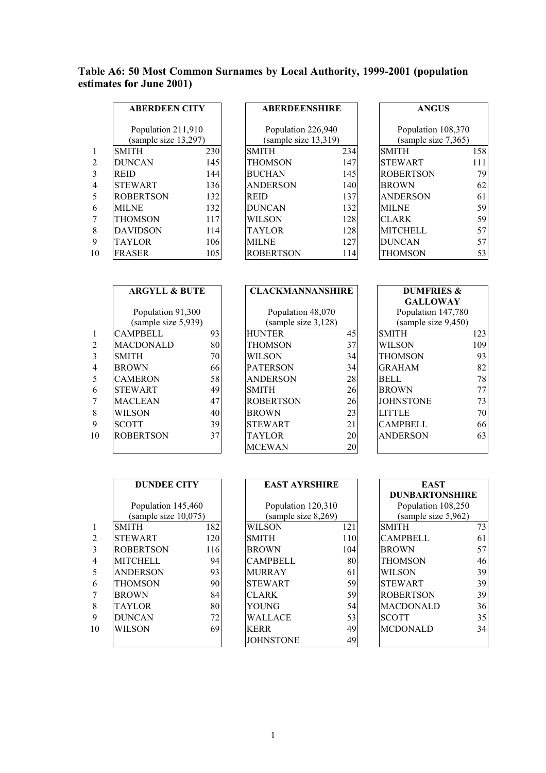## **Table A6: 50 Most Common Surnames by Local Authority, 1999-2001 (population estimates for June 2001)**

|                | <b>ABERDEEN CITY</b><br>Population 211,910 |     | <b>ABERDEENSHIRE</b> |     | <b>ANGUS</b>        |     |
|----------------|--------------------------------------------|-----|----------------------|-----|---------------------|-----|
|                |                                            |     | Population 226,940   |     | Population 108,370  |     |
|                | (sample size 13,297)                       |     | (sample size 13,319) |     | (sample size 7,365) |     |
| $\mathbf{1}$   | <b>SMITH</b>                               | 230 | <b>SMITH</b>         | 234 | <b>SMITH</b>        | 158 |
| 2              | <b>DUNCAN</b>                              | 145 | <b>THOMSON</b>       | 147 | <b>STEWART</b>      | 111 |
| 3              | <b>REID</b>                                | 144 | <b>BUCHAN</b>        | 145 | <b>ROBERTSON</b>    | 79  |
| $\overline{4}$ | <b>STEWART</b>                             | 136 | <b>ANDERSON</b>      | 140 | <b>BROWN</b>        | 62  |
| 5              | <b>ROBERTSON</b>                           | 132 | <b>REID</b>          | 137 | <b>ANDERSON</b>     | 61  |
| 6              | <b>MILNE</b>                               | 132 | <b>DUNCAN</b>        | 132 | <b>MILNE</b>        | 59  |
| 7              | THOMSON                                    | 117 | <b>WILSON</b>        | 128 | <b>CLARK</b>        | 59  |
| 8              | <b>DAVIDSON</b>                            | 114 | <b>TAYLOR</b>        | 128 | <b>MITCHELL</b>     | 57  |
| 9              | <b>TAYLOR</b>                              | 106 | <b>MILNE</b>         | 127 | <b>DUNCAN</b>       | 57  |
| 10             | <b>FRASER</b>                              | 105 | <b>ROBERTSON</b>     | 114 | THOMSON             | 53  |

| <b>ABERDEENSHIRE</b>                       |     |
|--------------------------------------------|-----|
| Population 226,940<br>(sample size 13,319) |     |
| <b>SMITH</b>                               | 234 |
| THOMSON                                    | 147 |
| <b>BUCHAN</b>                              | 145 |
| ANDERSON                                   | 140 |
| <b>REID</b>                                | 137 |
| DUNCAN                                     | 132 |
| WILSON                                     | 128 |
| <b>TAYLOR</b>                              | 128 |
| MILNE                                      | 127 |
| ROBERTSON                                  | 114 |

| <b>ANGUS</b>                              |     |
|-------------------------------------------|-----|
| Population 108,370<br>(sample size 7,365) |     |
| <b>SMITH</b>                              | 158 |
| <b>STEWART</b>                            | 111 |
| ROBERTSON                                 | 79  |
| BROWN                                     | 62  |
| ANDERSON                                  | 61  |
| MILNE                                     | 59  |
| <b>CLARK</b>                              | 59  |
| MITCHELL                                  | 57  |
| DUNCAN                                    | 57  |
| HOMSON                                    |     |

|                | <b>ARGYLL &amp; BUTE</b> |     | <b>CLACKMANNANSHIRE</b> |    | <b>DUMFRIES &amp;</b> |                                           |     |
|----------------|--------------------------|-----|-------------------------|----|-----------------------|-------------------------------------------|-----|
|                |                          |     |                         |    |                       | <b>GALLOWAY</b>                           |     |
|                | Population 91,300        |     | Population 48,070       |    |                       | Population 147,780<br>(sample size 9,450) |     |
|                | (sample size 5,939)      |     | (sample size 3,128)     |    |                       |                                           |     |
| $\mathbf{1}$   | <b>CAMPBELL</b>          | 93  | <b>HUNTER</b>           | 45 |                       | <b>SMITH</b>                              | 123 |
| 2              | <b>MACDONALD</b>         | 80  | THOMSON                 | 37 |                       | <b>WILSON</b>                             | 109 |
| 3              | <b>SMITH</b>             | 70I | WILSON                  | 34 |                       | THOMSON                                   | 93  |
| $\overline{4}$ | <b>BROWN</b>             | 661 | <b>PATERSON</b>         | 34 |                       | <b>GRAHAM</b>                             | 82  |
| 5              | <b>CAMERON</b>           | 58  | <b>ANDERSON</b>         | 28 |                       | <b>BELL</b>                               | 78  |
| 6              | <b>STEWART</b>           | 49  | <b>SMITH</b>            | 26 |                       | <b>BROWN</b>                              | 77  |
| 7              | <b>MACLEAN</b>           | 47  | <b>ROBERTSON</b>        | 26 |                       | <b>JOHNSTONE</b>                          | 73  |
| 8              | WILSON                   | 40  | <b>BROWN</b>            | 23 |                       | <b>LITTLE</b>                             | 70  |
| 9              | <b>SCOTT</b>             | 39  | <b>STEWART</b>          | 21 |                       | <b>CAMPBELL</b>                           | 66  |
| 10             | <b>ROBERTSON</b>         | 37  | TAYLOR                  | 20 |                       | <b>ANDERSON</b>                           | 63  |
|                |                          |     | <b>MCEWAN</b>           | 20 |                       |                                           |     |

| CLACKMANNANSHIRE    |    |  |  |  |  |  |
|---------------------|----|--|--|--|--|--|
| Population 48,070   |    |  |  |  |  |  |
| (sample size 3,128) |    |  |  |  |  |  |
| <b>HUNTER</b>       | 45 |  |  |  |  |  |
| THOMSON             | 37 |  |  |  |  |  |
| WILSON              | 34 |  |  |  |  |  |
| <b>PATERSON</b>     | 34 |  |  |  |  |  |
| ANDERSON            | 28 |  |  |  |  |  |
| <b>SMITH</b>        | 26 |  |  |  |  |  |
| <b>ROBERTSON</b>    | 26 |  |  |  |  |  |
| <b>BROWN</b>        | 23 |  |  |  |  |  |
| <b>STEWART</b>      | 21 |  |  |  |  |  |
| TAYLOR              | 20 |  |  |  |  |  |
| <b>CEWAN</b>        | 20 |  |  |  |  |  |

| <b>DUMFRIES &amp;</b> |     |
|-----------------------|-----|
| <b>GALLOWAY</b>       |     |
| Population 147,780    |     |
| (sample size 9,450)   |     |
| SMITH                 | 123 |
| WILSON                | 109 |
| THOMSON               | 93  |
| <b>GRAHAM</b>         | 82  |
| BELL.                 | 78  |
| <b>BROWN</b>          | 77  |
| JOHNSTONE             | 73  |
| LITTLE                | 70  |
| CAMPBELL              | 66  |
| ANDERSON              | 63  |
|                       |     |

|                | <b>DUNDEE CITY</b>   |     | <b>EAST AYRSHIRE</b> |     | <b>EAST</b>           |    |
|----------------|----------------------|-----|----------------------|-----|-----------------------|----|
|                |                      |     |                      |     | <b>DUNBARTONSHIRE</b> |    |
|                | Population 145,460   |     | Population 120,310   |     | Population 108,250    |    |
|                | (sample size 10,075) |     | (sample size 8,269)  |     | (sample size 5,962)   |    |
| $\mathbf{1}$   | <b>SMITH</b>         | 182 | <b>WILSON</b>        | 121 | <b>SMITH</b>          | 73 |
| 2              | <b>STEWART</b>       | 120 | <b>SMITH</b>         | 110 | <b>CAMPBELL</b>       | 61 |
| 3              | <b>ROBERTSON</b>     | 116 | <b>BROWN</b>         | 104 | <b>BROWN</b>          | 57 |
| $\overline{4}$ | <b>MITCHELL</b>      | 94  | <b>CAMPBELL</b>      | 80  | <b>THOMSON</b>        | 46 |
| 5              | <b>ANDERSON</b>      | 93  | <b>MURRAY</b>        | 61  | <b>WILSON</b>         | 39 |
| 6              | <b>THOMSON</b>       | 90  | <b>STEWART</b>       | 59  | <b>STEWART</b>        | 39 |
| 7              | <b>BROWN</b>         | 84  | <b>CLARK</b>         | 59  | <b>ROBERTSON</b>      | 39 |
| 8              | <b>TAYLOR</b>        | 80  | YOUNG                | 54  | <b>MACDONALD</b>      | 36 |
| 9              | <b>DUNCAN</b>        | 72  | <b>WALLACE</b>       | 53  | <b>SCOTT</b>          | 35 |
| 10             | <b>WILSON</b>        | 69  | <b>KERR</b>          | 49  | <b>MCDONALD</b>       | 34 |
|                |                      |     | <b>JOHNSTONE</b>     | 49  |                       |    |

| <b>EAST AYRSHIRE</b> |     |
|----------------------|-----|
| Population 120,310   |     |
| (sample size 8,269)  |     |
| WILSON               | 121 |
| SMITH                | 110 |
| <b>BROWN</b>         | 104 |
| <b>CAMPBELL</b>      | 80  |
| MURRAY               | 61  |
| <b>STEWART</b>       | 59  |
| CLARK                | 59  |
| YOUNG                | 54  |
| WALLACE              | 53  |
| KERR                 | 49  |
| OHNSTONE             |     |

| EAST                  |    |  |  |  |  |  |
|-----------------------|----|--|--|--|--|--|
| <b>DUNBARTONSHIRE</b> |    |  |  |  |  |  |
| Population 108,250    |    |  |  |  |  |  |
| (sample size 5,962)   |    |  |  |  |  |  |
| <b>SMITH</b>          | 73 |  |  |  |  |  |
| CAMPBELL              | 61 |  |  |  |  |  |
| <b>BROWN</b>          | 57 |  |  |  |  |  |
| THOMSON               | 46 |  |  |  |  |  |
| WILSON                | 39 |  |  |  |  |  |
| <b>STEWART</b>        | 39 |  |  |  |  |  |
| <b>ROBERTSON</b>      | 39 |  |  |  |  |  |
| MACDONALD             | 36 |  |  |  |  |  |
| <b>SCOTT</b>          | 35 |  |  |  |  |  |
| MCDONALD              | 34 |  |  |  |  |  |
|                       |    |  |  |  |  |  |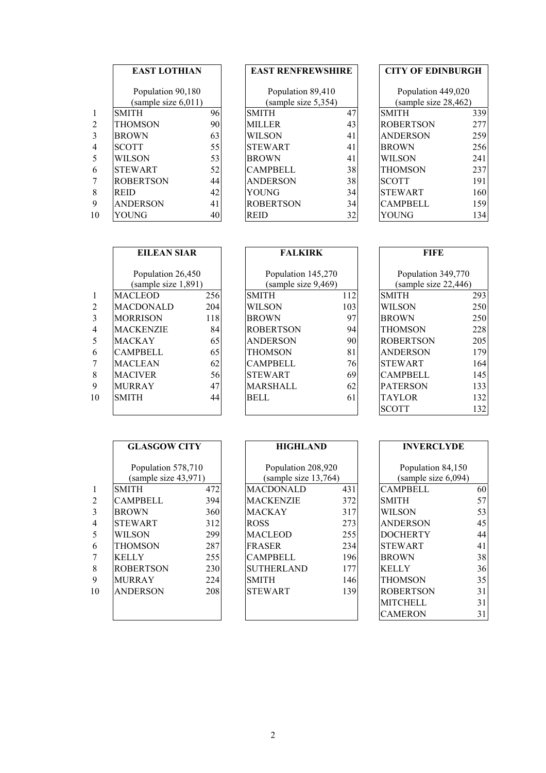|                | <b>EAST LOTHIAN</b> |    | <b>EAST RENFREWSHIRE</b>                 |    |                      | <b>CITY OF EDINBURGH</b> |  |
|----------------|---------------------|----|------------------------------------------|----|----------------------|--------------------------|--|
|                | Population 90,180   |    | Population 89,410<br>(sample size 5,354) |    | Population 449,020   |                          |  |
|                | (sample size 6,011) |    |                                          |    | (sample size 28,462) |                          |  |
| $\mathbf{1}$   | <b>SMITH</b>        | 96 | <b>SMITH</b>                             | 47 | <b>SMITH</b>         | 339                      |  |
| 2              | THOMSON             | 90 | <b>MILLER</b>                            | 43 | <b>ROBERTSON</b>     | 277                      |  |
| 3              | <b>BROWN</b>        | 63 | <b>WILSON</b>                            | 41 | <b>ANDERSON</b>      | 259                      |  |
| $\overline{4}$ | <b>SCOTT</b>        | 55 | <b>STEWART</b>                           | 41 | <b>BROWN</b>         | 256                      |  |
| 5              | WILSON              | 53 | <b>BROWN</b>                             | 41 | <b>WILSON</b>        | 241                      |  |
| 6              | <b>STEWART</b>      | 52 | <b>CAMPBELL</b>                          | 38 | <b>THOMSON</b>       | 237                      |  |
| 7              | <b>ROBERTSON</b>    | 44 | <b>ANDERSON</b>                          | 38 | <b>SCOTT</b>         | 191                      |  |
| 8              | <b>REID</b>         | 42 | YOUNG                                    | 34 | <b>STEWART</b>       | 160                      |  |
| 9              | <b>ANDERSON</b>     | 41 | <b>ROBERTSON</b>                         | 34 | <b>CAMPBELL</b>      | 159                      |  |
| 10             | YOUNG               | 40 | <b>REID</b>                              | 32 | YOUNG                | 134                      |  |

## **EAST RENFREWSHIRE** Population 89,410  $\frac{\text{(sample size 5,354)}}{\text{SMITH}}$ STEWART 41 CAMPBELL 38 ANDERSON 38<br>YOUNG 34 ROBERTSON 34

|                | <b>EAST LOTHIAN</b> |    | <b>EAST RENFREWSHIRE</b> |    | <b>CITY OF EDINBURGH</b> |                  |
|----------------|---------------------|----|--------------------------|----|--------------------------|------------------|
|                | Population 90,180   |    | Population 89,410        |    | Population 449,020       |                  |
|                | (sample size 6,011) |    | (sample size 5,354)      |    | (sample size 28,462)     |                  |
| $\mathbf{1}$   | <b>SMITH</b>        | 96 | <b>SMITH</b>             | 47 | <b>SMITH</b>             | 339              |
| 2              | <b>THOMSON</b>      | 90 | <b>MILLER</b>            | 43 | <b>ROBERTSON</b>         | 277              |
| 3              | <b>BROWN</b>        | 63 | <b>WILSON</b>            | 41 | <b>ANDERSON</b>          | 259              |
| $\overline{4}$ | <b>SCOTT</b>        | 55 | <b>STEWART</b>           | 41 | <b>BROWN</b>             | 256              |
| 5              | WILSON              | 53 | <b>BROWN</b>             | 41 | WILSON                   | 241              |
| 6              | <b>STEWART</b>      | 52 | <b>CAMPBELL</b>          | 38 | <b>THOMSON</b>           | 237              |
| $\overline{7}$ | <b>ROBERTSON</b>    | 44 | <b>ANDERSON</b>          | 38 | <b>SCOTT</b>             | 191 <sup>1</sup> |
| 8              | <b>REID</b>         | 42 | YOUNG                    | 34 | <b>STEWART</b>           | 160              |
| 9              | <b>ANDERSON</b>     | 41 | <b>ROBERTSON</b>         | 34 | <b>CAMPBELL</b>          | 159              |
| 10             | YOUNG               | 40 | <b>REID</b>              | 32 | YOUNG                    | 134              |

|                | <b>EILEAN SIAR</b>                       |     | <b>FALKIRK</b>                            |     | FIFE                                       |     |
|----------------|------------------------------------------|-----|-------------------------------------------|-----|--------------------------------------------|-----|
|                | Population 26,450<br>(sample size 1,891) |     | Population 145,270<br>(sample size 9,469) |     | Population 349,770<br>(sample size 22,446) |     |
| $\mathbf{1}$   | <b>MACLEOD</b>                           | 256 | <b>SMITH</b>                              | 112 | <b>SMITH</b>                               | 293 |
| 2              | <b>MACDONALD</b>                         | 204 | <b>WILSON</b>                             | 103 | <b>WILSON</b>                              | 250 |
| 3              | <b>MORRISON</b>                          | 118 | <b>BROWN</b>                              | 97  | <b>BROWN</b>                               | 250 |
| $\overline{4}$ | <b>MACKENZIE</b>                         | 84  | <b>ROBERTSON</b>                          | 94  | <b>THOMSON</b>                             | 228 |
| 5              | <b>MACKAY</b>                            | 65  | <b>ANDERSON</b>                           | 90  | <b>ROBERTSON</b>                           | 205 |
| 6              | CAMPBELL                                 | 65  | THOMSON                                   | 81  | <b>ANDERSON</b>                            | 179 |
| 7              | <b>MACLEAN</b>                           | 62  | <b>CAMPBELL</b>                           | 76  | <b>STEWART</b>                             | 164 |
| 8              | <b>MACIVER</b>                           | 56  | <b>STEWART</b>                            | 69  | <b>CAMPBELL</b>                            | 145 |
| 9              | <b>MURRAY</b>                            | 47  | <b>MARSHALL</b>                           | 62  | <b>PATERSON</b>                            | 133 |
| 10             | <b>SMITH</b>                             | 44  | <b>BELL</b>                               | 61  | <b>TAYLOR</b>                              | 132 |
|                |                                          |     |                                           |     | <b>SCOTT</b>                               | 132 |

| <b>FALKIRK</b>      |     |
|---------------------|-----|
| Population 145,270  |     |
| (sample size 9,469) |     |
| <b>SMITH</b>        | 112 |
| WIL SON             | 103 |
| <b>BROWN</b>        | 97  |
| ROBERTSON           | 94  |
| <b>ANDERSON</b>     | 90  |
| THOMSON             | 81  |
| <b>CAMPBELL</b>     | 76  |
| STEWART             | 69  |
| MARSHALL            | 62  |
| BELL                | 61  |
|                     |     |

| FIFE                 |     |
|----------------------|-----|
| Population 349,770   |     |
|                      |     |
| (sample size 22,446) |     |
| <b>SMITH</b>         | 293 |
| WILSON               | 250 |
| BROWN                | 250 |
| THOMSON              | 228 |
| ROBERTSON            | 205 |
| ANDERSON             | 179 |
| <b>STEWART</b>       | 164 |
| <b>CAMPBELL</b>      | 145 |
| PATERSON             | 133 |
| TAYLOR               | 132 |
| SCOTT                | 132 |

|                |    | <b>GLASGOW CITY</b>                        |     | <b>HIGHLAND</b>                            |     | <b>INVERCLYDE</b>                        |    |
|----------------|----|--------------------------------------------|-----|--------------------------------------------|-----|------------------------------------------|----|
|                |    | Population 578,710<br>(sample size 43,971) |     | Population 208,920<br>(sample size 13,764) |     | Population 84,150<br>(sample size 6,094) |    |
| 1              |    | <b>SMITH</b>                               | 472 | <b>MACDONALD</b>                           | 431 | <b>CAMPBELL</b>                          | 60 |
| $\overline{2}$ |    | <b>CAMPBELL</b>                            | 394 | <b>MACKENZIE</b>                           | 372 | <b>SMITH</b>                             | 57 |
| 3              |    | <b>BROWN</b>                               | 360 | <b>MACKAY</b>                              | 317 | <b>WILSON</b>                            | 53 |
| 4              |    | <b>STEWART</b>                             | 312 | <b>ROSS</b>                                | 273 | <b>ANDERSON</b>                          | 45 |
| 5              |    | WILSON                                     | 299 | <b>MACLEOD</b>                             | 255 | <b>DOCHERTY</b>                          | 44 |
| 6              |    | <b>THOMSON</b>                             | 287 | <b>FRASER</b>                              | 234 | <b>STEWART</b>                           | 41 |
|                |    | <b>KELLY</b>                               | 255 | <b>CAMPBELL</b>                            | 196 | <b>BROWN</b>                             | 38 |
| 8              |    | <b>ROBERTSON</b>                           | 230 | <b>SUTHERLAND</b>                          | 177 | <b>KELLY</b>                             | 36 |
| 9              |    | <b>MURRAY</b>                              | 224 | <b>SMITH</b>                               | 146 | <b>THOMSON</b>                           | 35 |
|                | 10 | <b>ANDERSON</b>                            | 208 | <b>STEWART</b>                             | 139 | <b>ROBERTSON</b>                         | 31 |
|                |    |                                            |     |                                            |     | <b>MITCHELL</b>                          | 31 |
|                |    |                                            |     |                                            |     |                                          |    |

| <b>HIGHLAND</b>                            |     |
|--------------------------------------------|-----|
| Population 208,920<br>(sample size 13,764) |     |
| <b>MACDONALD</b>                           | 431 |
| MACKENZIE                                  | 372 |
| MACKAY                                     | 317 |
| <b>ROSS</b>                                | 273 |
| MACLEOD                                    | 255 |
| <b>FRASER</b>                              | 234 |
| CAMPBELL                                   | 196 |
| SUTHERLAND                                 | 177 |
| <b>SMITH</b>                               | 146 |
| STEWART                                    | 139 |
|                                            |     |
|                                            |     |

| <b>INVERCLYDE</b>   |    |
|---------------------|----|
| Population 84,150   |    |
| (sample size 6,094) |    |
| CAMPBELL            | 60 |
| SMITH               | 57 |
| WILSON              | 53 |
| ANDERSON            | 45 |
| DOCHERTY            | 44 |
| STEWART             | 41 |
| <b>BROWN</b>        | 38 |
| <b>KELLY</b>        | 36 |
| THOMSON             | 35 |
| ROBERTSON           | 31 |
| MITCHELL            | 31 |
| CAMERON             | 3. |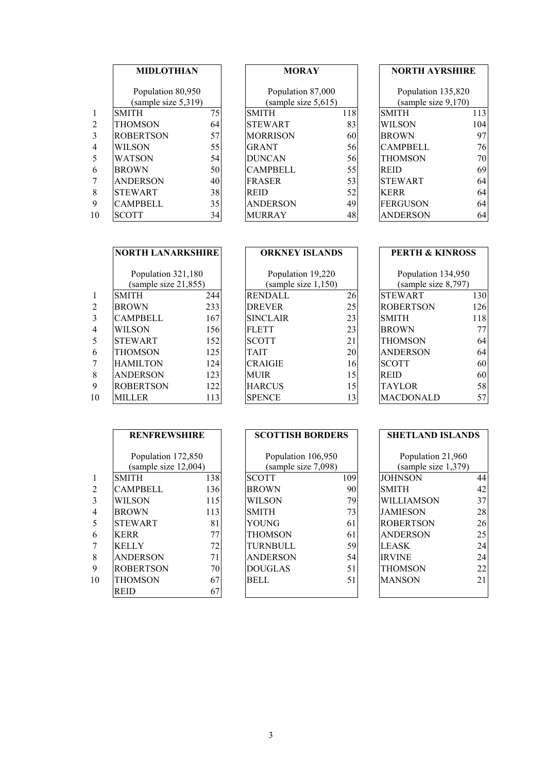|                | <b>MIDLOTHIAN</b><br>Population 80,950 |    | <b>MORAY</b>        |     | <b>NORTH AYRSHIRE</b> |     |
|----------------|----------------------------------------|----|---------------------|-----|-----------------------|-----|
|                |                                        |    | Population 87,000   |     | Population 135,820    |     |
|                | (sample size 5,319)                    |    | (sample size 5,615) |     | (sample size 9,170)   |     |
| $\mathbf{1}$   | <b>SMITH</b>                           | 75 | <b>SMITH</b>        | 118 | <b>SMITH</b>          | 113 |
| 2              | THOMSON                                | 64 | <b>STEWART</b>      | 83  | <b>WILSON</b>         | 104 |
| 3              | <b>ROBERTSON</b>                       | 57 | <b>MORRISON</b>     | 60  | <b>BROWN</b>          | 97  |
| $\overline{4}$ | WILSON                                 | 55 | <b>GRANT</b>        | 56  | <b>CAMPBELL</b>       | 76  |
| 5              | WATSON                                 | 54 | <b>DUNCAN</b>       | 56  | <b>THOMSON</b>        | 70  |
| 6              | <b>BROWN</b>                           | 50 | <b>CAMPBELL</b>     | 55  | <b>REID</b>           | 69  |
| 7              | <b>ANDERSON</b>                        | 40 | <b>FRASER</b>       | 53  | <b>STEWART</b>        | 64  |
| 8              | <b>STEWART</b>                         | 38 | <b>REID</b>         | 52  | <b>KERR</b>           | 64  |
| 9              | <b>CAMPBELL</b>                        | 35 | <b>ANDERSON</b>     | 49  | FERGUSON              | 64  |
| 10             | <b>SCOTT</b>                           | 34 | <b>MURRAY</b>       | 48  | <b>ANDERSON</b>       | 64  |

 $\overline{\phantom{a}}$ 

|                | <b>MIDLOTHIAN</b><br>Population 80,950 |    | <b>MORAY</b>           |     | <b>NORTH AYRSHIRE</b> |     |
|----------------|----------------------------------------|----|------------------------|-----|-----------------------|-----|
|                |                                        |    | Population 87,000      |     | Population 135,820    |     |
|                | (sample size 5,319)                    |    | (sample size $5,615$ ) |     | (sample size 9,170)   |     |
| $\mathbf{1}$   | <b>SMITH</b>                           | 75 | <b>SMITH</b>           | 118 | <b>SMITH</b>          | 113 |
| 2              | <b>THOMSON</b>                         | 64 | <b>STEWART</b>         | 83  | <b>WILSON</b>         | 104 |
| 3              | <b>ROBERTSON</b>                       | 57 | <b>MORRISON</b>        | 60  | <b>BROWN</b>          | 97  |
| $\overline{4}$ | <b>WILSON</b>                          | 55 | <b>GRANT</b>           | 56  | <b>CAMPBELL</b>       | 76  |
| 5              | <b>WATSON</b>                          | 54 | <b>DUNCAN</b>          | 56  | <b>THOMSON</b>        | 70  |
| 6              | <b>BROWN</b>                           | 50 | <b>CAMPBELL</b>        | 55  | <b>REID</b>           | 69  |
| 7              | <b>ANDERSON</b>                        | 40 | <b>FRASER</b>          | 53  | <b>STEWART</b>        | 64  |
| 8              | <b>STEWART</b>                         | 38 | <b>REID</b>            | 52  | <b>KERR</b>           | 64  |
| 9              | CAMPBELL                               | 35 | <b>ANDERSON</b>        | 49  | <b>FERGUSON</b>       | 64  |
| 10             | <b>SCOTT</b>                           | 34 | <b>MURRAY</b>          | 48  | <b>ANDERSON</b>       | 64  |

| <b>NORTH AVRSHIRE</b> |     |
|-----------------------|-----|
| Population 135,820    |     |
| (sample size 9,170)   |     |
| <b>SMITH</b>          | 113 |
| WILSON                | 104 |
| <b>BROWN</b>          | q,  |
| <b>CAMPBELL</b>       | 76  |
| THOMSON               | 70  |
| REID                  | 69  |
| <b>STEWART</b>        | 64  |
| <b>KERR</b>           | 64  |
| FERGUSON              |     |
| DERSON                |     |

|                | <b>NORTH LANARKSHIRE</b>                   |     | <b>ORKNEY ISLANDS</b>                    |                 |                                           | <b>PERTH &amp; KINROSS</b> |
|----------------|--------------------------------------------|-----|------------------------------------------|-----------------|-------------------------------------------|----------------------------|
|                | Population 321,180<br>(sample size 21,855) |     | Population 19,220<br>(sample size 1,150) |                 | Population 134,950<br>(sample size 8,797) |                            |
| $\mathbf{1}$   | <b>SMITH</b>                               | 244 | <b>RENDALL</b>                           | 26              | <b>STEWART</b>                            | 130                        |
| 2              | <b>BROWN</b>                               | 233 | <b>DREVER</b>                            | 25              | <b>ROBERTSON</b>                          | 126                        |
| 3              | CAMPBELL                                   | 167 | <b>SINCLAIR</b>                          | 23              | <b>SMITH</b>                              | 118                        |
| $\overline{4}$ | <b>WILSON</b>                              | 156 | <b>FLETT</b>                             | 23              | <b>BROWN</b>                              | 77                         |
| 5              | <b>STEWART</b>                             | 152 | <b>SCOTT</b>                             | 21              | <b>THOMSON</b>                            | 64                         |
| 6              | <b>THOMSON</b>                             | 125 | <b>TAIT</b>                              | 20              | <b>ANDERSON</b>                           | 64                         |
| 7              | <b>HAMILTON</b>                            | 124 | <b>CRAIGIE</b>                           | 16              | <b>SCOTT</b>                              | 60                         |
| 8              | <b>ANDERSON</b>                            | 123 | <b>MUIR</b>                              | 15              | <b>REID</b>                               | 60                         |
| 9              | <b>ROBERTSON</b>                           | 122 | <b>HARCUS</b>                            | 15              | <b>TAYLOR</b>                             | 58                         |
| 10             | MILLER                                     | 113 | <b>SPENCE</b>                            | 13 <sup>1</sup> | <b>MACDONALD</b>                          | 57                         |

| UKKNE I ISLANDS     |    |
|---------------------|----|
|                     |    |
| Population 19,220   |    |
| (sample size 1,150) |    |
| <b>RENDALL</b>      | 26 |
| DREVER              | 25 |
| <b>SINCLAIR</b>     | 23 |
| <b>FLETT</b>        | 23 |
| <b>SCOTT</b>        | 21 |
| TAIT                | 20 |
| <b>CRAIGIE</b>      | 16 |
| MUIR-               | 15 |
| HARCUS              | 15 |
| <b>SPENCE</b>       | 13 |

| <b>PERTH &amp; KINROSS</b>                |     |
|-------------------------------------------|-----|
| Population 134,950<br>(sample size 8,797) |     |
| <b>STEWART</b>                            | 130 |
| ROBERTSON                                 | 126 |
| <b>SMITH</b>                              | 118 |
| <b>BROWN</b>                              | 77  |
| THOMSON                                   | 64  |
| ANDERSON                                  | 64  |
| <b>SCOTT</b>                              | 60  |
| REID                                      | 60  |
| TAYLOR                                    | 58  |
| ACDONALD                                  |     |

|                | <b>RENFREWSHIRE</b>                        |     | <b>SCOTTISH BORDERS</b>                   |     | <b>SHETLAND ISLANDS</b>                  |    |
|----------------|--------------------------------------------|-----|-------------------------------------------|-----|------------------------------------------|----|
|                | Population 172,850<br>(sample size 12,004) |     | Population 106,950<br>(sample size 7,098) |     | Population 21,960<br>(sample size 1,379) |    |
| $\mathbf{1}$   | <b>SMITH</b>                               | 138 | <b>SCOTT</b>                              | 109 | <b>JOHNSON</b>                           | 44 |
| 2              | <b>CAMPBELL</b>                            | 136 | <b>BROWN</b>                              | 90  | <b>SMITH</b>                             | 42 |
| 3              | <b>WILSON</b>                              | 115 | WILSON                                    | 79  | <b>WILLIAMSON</b>                        | 37 |
| $\overline{4}$ | <b>BROWN</b>                               | 113 | <b>SMITH</b>                              | 73  | <b>JAMIESON</b>                          | 28 |
| 5              | <b>STEWART</b>                             | 81  | YOUNG                                     | 61  | <b>ROBERTSON</b>                         | 26 |
| 6              | <b>KERR</b>                                | 77  | THOMSON                                   | 61  | <b>ANDERSON</b>                          | 25 |
| 7              | <b>KELLY</b>                               | 72  | TURNBULL                                  | 59  | <b>LEASK</b>                             | 24 |
| 8              | <b>ANDERSON</b>                            | 71  | <b>ANDERSON</b>                           | 54  | <b>IRVINE</b>                            | 24 |
| 9              | <b>ROBERTSON</b>                           | 70  | <b>DOUGLAS</b>                            | 51  | <b>THOMSON</b>                           | 22 |
| 10             | <b>THOMSON</b>                             | 67  | <b>BELL</b>                               | 51  | <b>MANSON</b>                            | 21 |
|                | <b>REID</b>                                | 67  |                                           |     |                                          |    |

| эсэн нэн в<br>UKIJEKS |     |
|-----------------------|-----|
| Population 106,950    |     |
| (sample size 7,098)   |     |
| <b>SCOTT</b>          | 109 |
| <b>BROWN</b>          | 90  |
| WILSON                | 79  |
| <b>SMITH</b>          | 73  |
| YOUNG                 | 61  |
| THOMSON               | 61  |
| TURNBULL              | 59  |
| ANDERSON              | 54  |
| DOUGLAS               | 51  |
| BELL                  | 51  |
|                       |     |

| SHETLAND ISLANDS                         |    |  |
|------------------------------------------|----|--|
| Population 21,960<br>(sample size 1,379) |    |  |
| JOHNSON                                  | 44 |  |
| SMITH                                    | 42 |  |
| WILLIAMSON                               | 37 |  |
| JAMIESON                                 | 28 |  |
| ROBERTSON                                | 26 |  |
| ANDERSON                                 | 25 |  |
| LEASK                                    | 24 |  |
| <b>IRVINE</b>                            | 24 |  |
| THOMSON                                  | 22 |  |
| MANSON                                   | 21 |  |
|                                          |    |  |